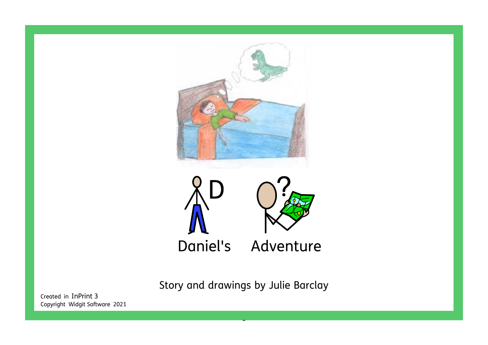

Story and drawings by Julie Barclay

- The control of the control of the control of the control of the control of the control of the control of the<br>The control of the control of the control of the control of the control of the control of the control of the c

Created in InPrint 3 Copyright Widgit Software 2021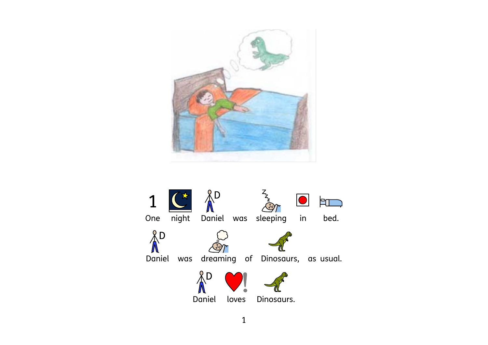

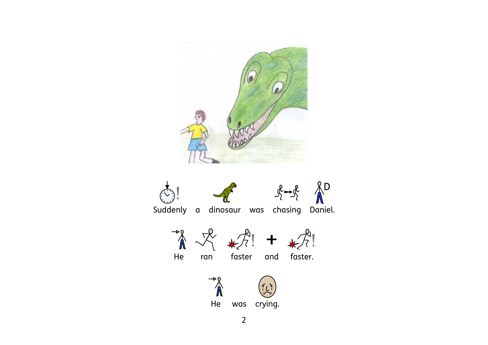

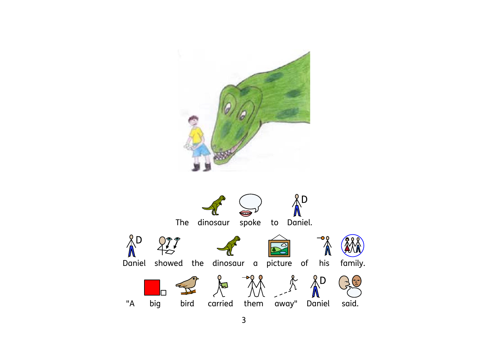

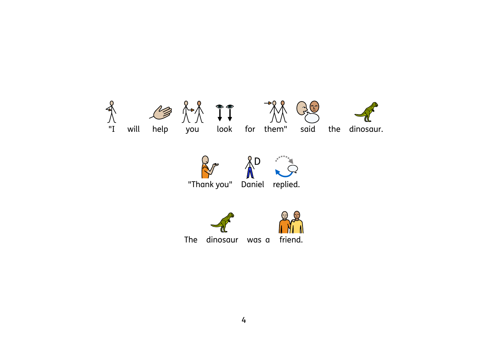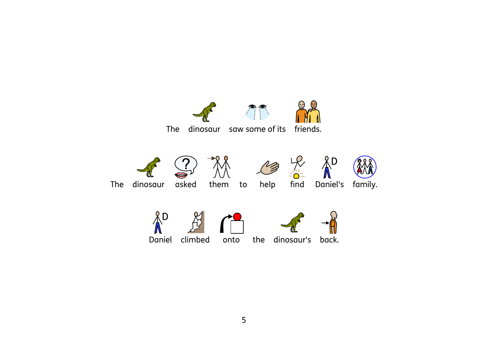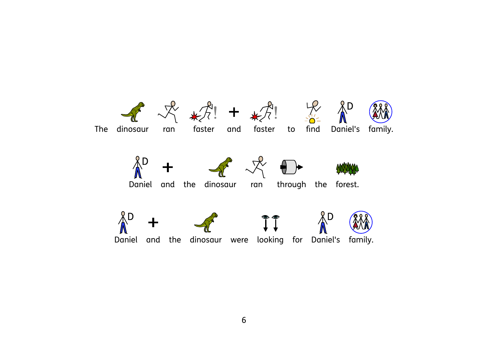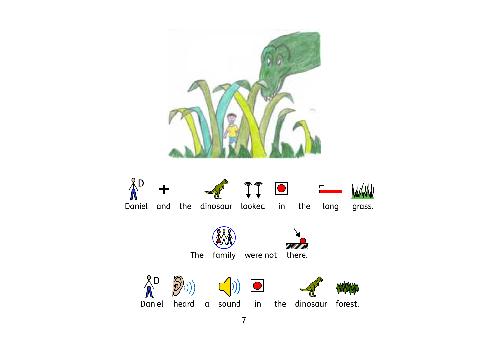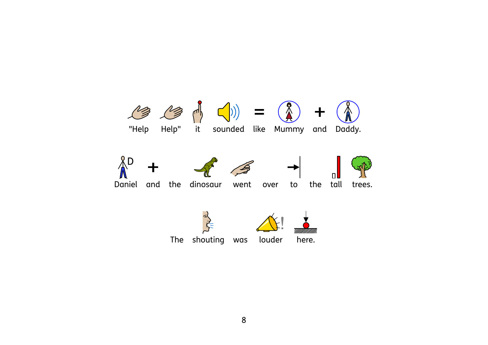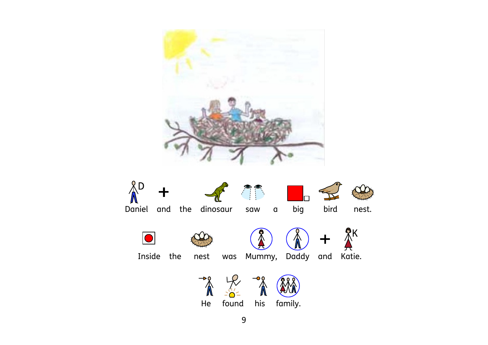

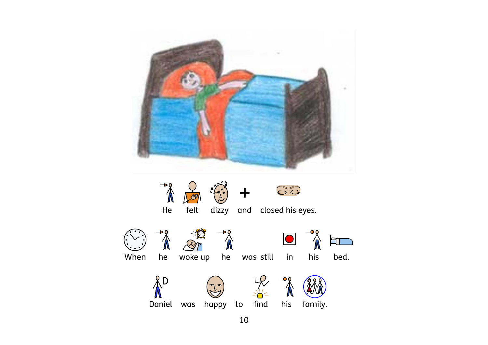

10